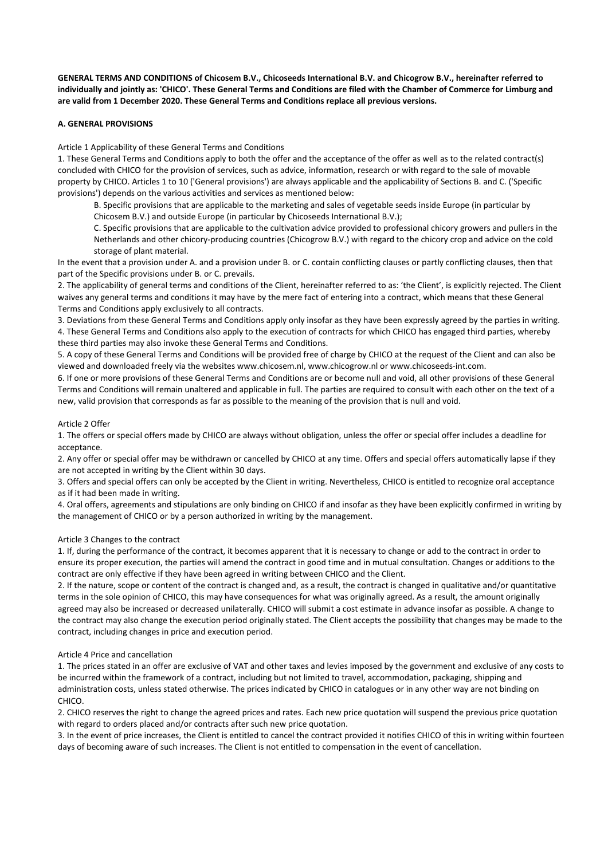**GENERAL TERMS AND CONDITIONS of Chicosem B.V., Chicoseeds International B.V. and Chicogrow B.V., hereinafter referred to individually and jointly as: 'CHICO'. These General Terms and Conditions are filed with the Chamber of Commerce for Limburg and are valid from 1 December 2020. These General Terms and Conditions replace all previous versions.** 

# **A. GENERAL PROVISIONS**

Article 1 Applicability of these General Terms and Conditions

1. These General Terms and Conditions apply to both the offer and the acceptance of the offer as well as to the related contract(s) concluded with CHICO for the provision of services, such as advice, information, research or with regard to the sale of movable property by CHICO. Articles 1 to 10 ('General provisions') are always applicable and the applicability of Sections B. and C. ('Specific provisions') depends on the various activities and services as mentioned below:

B. Specific provisions that are applicable to the marketing and sales of vegetable seeds inside Europe (in particular by Chicosem B.V.) and outside Europe (in particular by Chicoseeds International B.V.);

C. Specific provisions that are applicable to the cultivation advice provided to professional chicory growers and pullers in the Netherlands and other chicory-producing countries (Chicogrow B.V.) with regard to the chicory crop and advice on the cold storage of plant material.

In the event that a provision under A. and a provision under B. or C. contain conflicting clauses or partly conflicting clauses, then that part of the Specific provisions under B. or C. prevails.

2. The applicability of general terms and conditions of the Client, hereinafter referred to as: 'the Client', is explicitly rejected. The Client waives any general terms and conditions it may have by the mere fact of entering into a contract, which means that these General Terms and Conditions apply exclusively to all contracts.

3. Deviations from these General Terms and Conditions apply only insofar as they have been expressly agreed by the parties in writing. 4. These General Terms and Conditions also apply to the execution of contracts for which CHICO has engaged third parties, whereby these third parties may also invoke these General Terms and Conditions.

5. A copy of these General Terms and Conditions will be provided free of charge by CHICO at the request of the Client and can also be viewed and downloaded freely via the websites www.chicosem.nl, www.chicogrow.nl or www.chicoseeds-int.com.

6. If one or more provisions of these General Terms and Conditions are or become null and void, all other provisions of these General Terms and Conditions will remain unaltered and applicable in full. The parties are required to consult with each other on the text of a new, valid provision that corresponds as far as possible to the meaning of the provision that is null and void.

# Article 2 Offer

1. The offers or special offers made by CHICO are always without obligation, unless the offer or special offer includes a deadline for acceptance.

2. Any offer or special offer may be withdrawn or cancelled by CHICO at any time. Offers and special offers automatically lapse if they are not accepted in writing by the Client within 30 days.

3. Offers and special offers can only be accepted by the Client in writing. Nevertheless, CHICO is entitled to recognize oral acceptance as if it had been made in writing.

4. Oral offers, agreements and stipulations are only binding on CHICO if and insofar as they have been explicitly confirmed in writing by the management of CHICO or by a person authorized in writing by the management.

### Article 3 Changes to the contract

1. If, during the performance of the contract, it becomes apparent that it is necessary to change or add to the contract in order to ensure its proper execution, the parties will amend the contract in good time and in mutual consultation. Changes or additions to the contract are only effective if they have been agreed in writing between CHICO and the Client.

2. If the nature, scope or content of the contract is changed and, as a result, the contract is changed in qualitative and/or quantitative terms in the sole opinion of CHICO, this may have consequences for what was originally agreed. As a result, the amount originally agreed may also be increased or decreased unilaterally. CHICO will submit a cost estimate in advance insofar as possible. A change to the contract may also change the execution period originally stated. The Client accepts the possibility that changes may be made to the contract, including changes in price and execution period.

#### Article 4 Price and cancellation

1. The prices stated in an offer are exclusive of VAT and other taxes and levies imposed by the government and exclusive of any costs to be incurred within the framework of a contract, including but not limited to travel, accommodation, packaging, shipping and administration costs, unless stated otherwise. The prices indicated by CHICO in catalogues or in any other way are not binding on CHICO.

2. CHICO reserves the right to change the agreed prices and rates. Each new price quotation will suspend the previous price quotation with regard to orders placed and/or contracts after such new price quotation.

3. In the event of price increases, the Client is entitled to cancel the contract provided it notifies CHICO of this in writing within fourteen days of becoming aware of such increases. The Client is not entitled to compensation in the event of cancellation.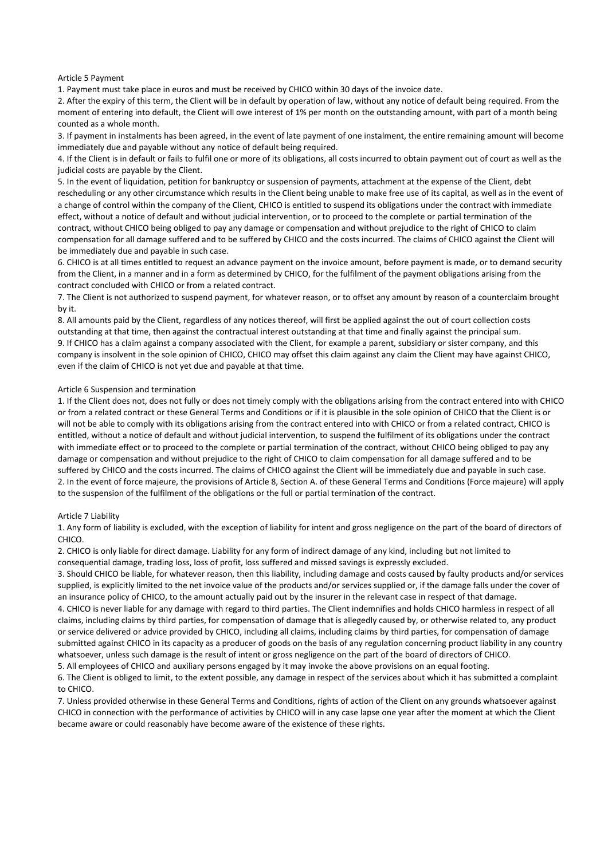### Article 5 Payment

1. Payment must take place in euros and must be received by CHICO within 30 days of the invoice date.

2. After the expiry of this term, the Client will be in default by operation of law, without any notice of default being required. From the moment of entering into default, the Client will owe interest of 1% per month on the outstanding amount, with part of a month being counted as a whole month.

3. If payment in instalments has been agreed, in the event of late payment of one instalment, the entire remaining amount will become immediately due and payable without any notice of default being required.

4. If the Client is in default or fails to fulfil one or more of its obligations, all costs incurred to obtain payment out of court as well as the judicial costs are payable by the Client.

5. In the event of liquidation, petition for bankruptcy or suspension of payments, attachment at the expense of the Client, debt rescheduling or any other circumstance which results in the Client being unable to make free use of its capital, as well as in the event of a change of control within the company of the Client, CHICO is entitled to suspend its obligations under the contract with immediate effect, without a notice of default and without judicial intervention, or to proceed to the complete or partial termination of the contract, without CHICO being obliged to pay any damage or compensation and without prejudice to the right of CHICO to claim compensation for all damage suffered and to be suffered by CHICO and the costs incurred. The claims of CHICO against the Client will be immediately due and payable in such case.

6. CHICO is at all times entitled to request an advance payment on the invoice amount, before payment is made, or to demand security from the Client, in a manner and in a form as determined by CHICO, for the fulfilment of the payment obligations arising from the contract concluded with CHICO or from a related contract.

7. The Client is not authorized to suspend payment, for whatever reason, or to offset any amount by reason of a counterclaim brought by it.

8. All amounts paid by the Client, regardless of any notices thereof, will first be applied against the out of court collection costs outstanding at that time, then against the contractual interest outstanding at that time and finally against the principal sum. 9. If CHICO has a claim against a company associated with the Client, for example a parent, subsidiary or sister company, and this company is insolvent in the sole opinion of CHICO, CHICO may offset this claim against any claim the Client may have against CHICO, even if the claim of CHICO is not yet due and payable at that time.

# Article 6 Suspension and termination

1. If the Client does not, does not fully or does not timely comply with the obligations arising from the contract entered into with CHICO or from a related contract or these General Terms and Conditions or if it is plausible in the sole opinion of CHICO that the Client is or will not be able to comply with its obligations arising from the contract entered into with CHICO or from a related contract, CHICO is entitled, without a notice of default and without judicial intervention, to suspend the fulfilment of its obligations under the contract with immediate effect or to proceed to the complete or partial termination of the contract, without CHICO being obliged to pay any damage or compensation and without prejudice to the right of CHICO to claim compensation for all damage suffered and to be suffered by CHICO and the costs incurred. The claims of CHICO against the Client will be immediately due and payable in such case. 2. In the event of force majeure, the provisions of Article 8, Section A. of these General Terms and Conditions (Force majeure) will apply to the suspension of the fulfilment of the obligations or the full or partial termination of the contract.

#### Article 7 Liability

1. Any form of liability is excluded, with the exception of liability for intent and gross negligence on the part of the board of directors of CHICO.

2. CHICO is only liable for direct damage. Liability for any form of indirect damage of any kind, including but not limited to consequential damage, trading loss, loss of profit, loss suffered and missed savings is expressly excluded.

3. Should CHICO be liable, for whatever reason, then this liability, including damage and costs caused by faulty products and/or services supplied, is explicitly limited to the net invoice value of the products and/or services supplied or, if the damage falls under the cover of an insurance policy of CHICO, to the amount actually paid out by the insurer in the relevant case in respect of that damage.

4. CHICO is never liable for any damage with regard to third parties. The Client indemnifies and holds CHICO harmless in respect of all claims, including claims by third parties, for compensation of damage that is allegedly caused by, or otherwise related to, any product or service delivered or advice provided by CHICO, including all claims, including claims by third parties, for compensation of damage submitted against CHICO in its capacity as a producer of goods on the basis of any regulation concerning product liability in any country whatsoever, unless such damage is the result of intent or gross negligence on the part of the board of directors of CHICO.

5. All employees of CHICO and auxiliary persons engaged by it may invoke the above provisions on an equal footing.

6. The Client is obliged to limit, to the extent possible, any damage in respect of the services about which it has submitted a complaint to CHICO.

7. Unless provided otherwise in these General Terms and Conditions, rights of action of the Client on any grounds whatsoever against CHICO in connection with the performance of activities by CHICO will in any case lapse one year after the moment at which the Client became aware or could reasonably have become aware of the existence of these rights.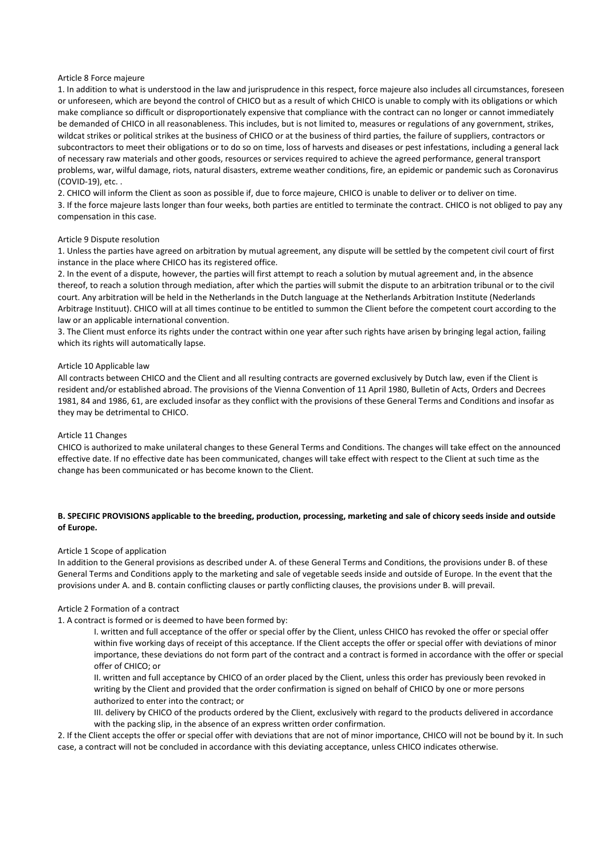### Article 8 Force majeure

1. In addition to what is understood in the law and jurisprudence in this respect, force majeure also includes all circumstances, foreseen or unforeseen, which are beyond the control of CHICO but as a result of which CHICO is unable to comply with its obligations or which make compliance so difficult or disproportionately expensive that compliance with the contract can no longer or cannot immediately be demanded of CHICO in all reasonableness. This includes, but is not limited to, measures or regulations of any government, strikes, wildcat strikes or political strikes at the business of CHICO or at the business of third parties, the failure of suppliers, contractors or subcontractors to meet their obligations or to do so on time, loss of harvests and diseases or pest infestations, including a general lack of necessary raw materials and other goods, resources or services required to achieve the agreed performance, general transport problems, war, wilful damage, riots, natural disasters, extreme weather conditions, fire, an epidemic or pandemic such as Coronavirus (COVID-19), etc. .

2. CHICO will inform the Client as soon as possible if, due to force majeure, CHICO is unable to deliver or to deliver on time. 3. If the force majeure lasts longer than four weeks, both parties are entitled to terminate the contract. CHICO is not obliged to pay any compensation in this case.

### Article 9 Dispute resolution

1. Unless the parties have agreed on arbitration by mutual agreement, any dispute will be settled by the competent civil court of first instance in the place where CHICO has its registered office.

2. In the event of a dispute, however, the parties will first attempt to reach a solution by mutual agreement and, in the absence thereof, to reach a solution through mediation, after which the parties will submit the dispute to an arbitration tribunal or to the civil court. Any arbitration will be held in the Netherlands in the Dutch language at the Netherlands Arbitration Institute (Nederlands Arbitrage Instituut). CHICO will at all times continue to be entitled to summon the Client before the competent court according to the law or an applicable international convention.

3. The Client must enforce its rights under the contract within one year after such rights have arisen by bringing legal action, failing which its rights will automatically lapse.

#### Article 10 Applicable law

All contracts between CHICO and the Client and all resulting contracts are governed exclusively by Dutch law, even if the Client is resident and/or established abroad. The provisions of the Vienna Convention of 11 April 1980, Bulletin of Acts, Orders and Decrees 1981, 84 and 1986, 61, are excluded insofar as they conflict with the provisions of these General Terms and Conditions and insofar as they may be detrimental to CHICO.

#### Article 11 Changes

CHICO is authorized to make unilateral changes to these General Terms and Conditions. The changes will take effect on the announced effective date. If no effective date has been communicated, changes will take effect with respect to the Client at such time as the change has been communicated or has become known to the Client.

# **B. SPECIFIC PROVISIONS applicable to the breeding, production, processing, marketing and sale of chicory seeds inside and outside of Europe.**

#### Article 1 Scope of application

In addition to the General provisions as described under A. of these General Terms and Conditions, the provisions under B. of these General Terms and Conditions apply to the marketing and sale of vegetable seeds inside and outside of Europe. In the event that the provisions under A. and B. contain conflicting clauses or partly conflicting clauses, the provisions under B. will prevail.

#### Article 2 Formation of a contract

1. A contract is formed or is deemed to have been formed by:

I. written and full acceptance of the offer or special offer by the Client, unless CHICO has revoked the offer or special offer within five working days of receipt of this acceptance. If the Client accepts the offer or special offer with deviations of minor importance, these deviations do not form part of the contract and a contract is formed in accordance with the offer or special offer of CHICO; or

II. written and full acceptance by CHICO of an order placed by the Client, unless this order has previously been revoked in writing by the Client and provided that the order confirmation is signed on behalf of CHICO by one or more persons authorized to enter into the contract; or

III. delivery by CHICO of the products ordered by the Client, exclusively with regard to the products delivered in accordance with the packing slip, in the absence of an express written order confirmation.

2. If the Client accepts the offer or special offer with deviations that are not of minor importance, CHICO will not be bound by it. In such case, a contract will not be concluded in accordance with this deviating acceptance, unless CHICO indicates otherwise.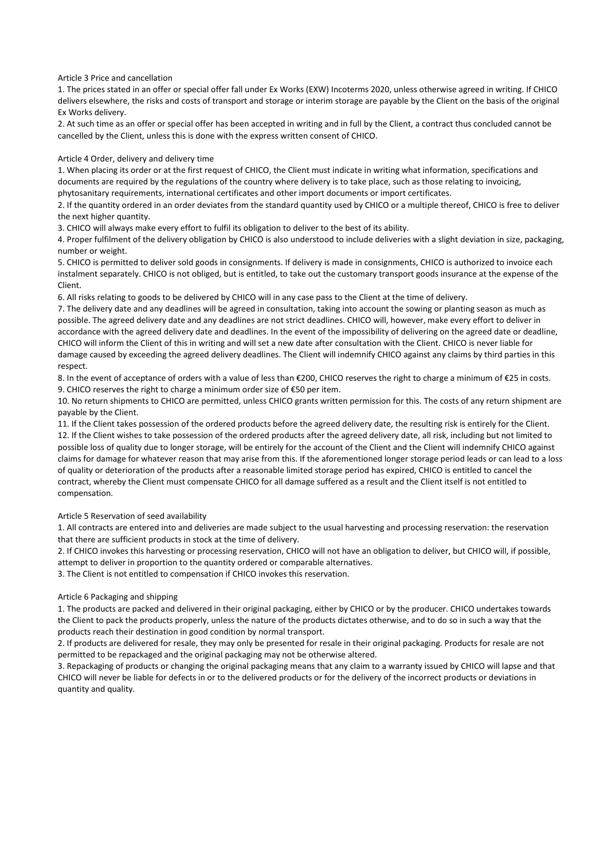Article 3 Price and cancellation

1. The prices stated in an offer or special offer fall under Ex Works (EXW) Incoterms 2020, unless otherwise agreed in writing. If CHICO delivers elsewhere, the risks and costs of transport and storage or interim storage are payable by the Client on the basis of the original Ex Works delivery.

2. At such time as an offer or special offer has been accepted in writing and in full by the Client, a contract thus concluded cannot be cancelled by the Client, unless this is done with the express written consent of CHICO.

# Article 4 Order, delivery and delivery time

1. When placing its order or at the first request of CHICO, the Client must indicate in writing what information, specifications and documents are required by the regulations of the country where delivery is to take place, such as those relating to invoicing, phytosanitary requirements, international certificates and other import documents or import certificates.

2. If the quantity ordered in an order deviates from the standard quantity used by CHICO or a multiple thereof, CHICO is free to deliver the next higher quantity.

3. CHICO will always make every effort to fulfil its obligation to deliver to the best of its ability.

4. Proper fulfilment of the delivery obligation by CHICO is also understood to include deliveries with a slight deviation in size, packaging, number or weight.

5. CHICO is permitted to deliver sold goods in consignments. If delivery is made in consignments, CHICO is authorized to invoice each instalment separately. CHICO is not obliged, but is entitled, to take out the customary transport goods insurance at the expense of the Client.

6. All risks relating to goods to be delivered by CHICO will in any case pass to the Client at the time of delivery.

7. The delivery date and any deadlines will be agreed in consultation, taking into account the sowing or planting season as much as possible. The agreed delivery date and any deadlines are not strict deadlines. CHICO will, however, make every effort to deliver in accordance with the agreed delivery date and deadlines. In the event of the impossibility of delivering on the agreed date or deadline, CHICO will inform the Client of this in writing and will set a new date after consultation with the Client. CHICO is never liable for damage caused by exceeding the agreed delivery deadlines. The Client will indemnify CHICO against any claims by third parties in this respect.

8. In the event of acceptance of orders with a value of less than  $E200$ , CHICO reserves the right to charge a minimum of  $E25$  in costs. 9. CHICO reserves the right to charge a minimum order size of €50 per item.

10. No return shipments to CHICO are permitted, unless CHICO grants written permission for this. The costs of any return shipment are payable by the Client.

11. If the Client takes possession of the ordered products before the agreed delivery date, the resulting risk is entirely for the Client. 12. If the Client wishes to take possession of the ordered products after the agreed delivery date, all risk, including but not limited to possible loss of quality due to longer storage, will be entirely for the account of the Client and the Client will indemnify CHICO against claims for damage for whatever reason that may arise from this. If the aforementioned longer storage period leads or can lead to a loss of quality or deterioration of the products after a reasonable limited storage period has expired, CHICO is entitled to cancel the contract, whereby the Client must compensate CHICO for all damage suffered as a result and the Client itself is not entitled to compensation.

Article 5 Reservation of seed availability

1. All contracts are entered into and deliveries are made subject to the usual harvesting and processing reservation: the reservation that there are sufficient products in stock at the time of delivery.

2. If CHICO invokes this harvesting or processing reservation, CHICO will not have an obligation to deliver, but CHICO will, if possible, attempt to deliver in proportion to the quantity ordered or comparable alternatives.

3. The Client is not entitled to compensation if CHICO invokes this reservation.

# Article 6 Packaging and shipping

1. The products are packed and delivered in their original packaging, either by CHICO or by the producer. CHICO undertakes towards the Client to pack the products properly, unless the nature of the products dictates otherwise, and to do so in such a way that the products reach their destination in good condition by normal transport.

2. If products are delivered for resale, they may only be presented for resale in their original packaging. Products for resale are not permitted to be repackaged and the original packaging may not be otherwise altered.

3. Repackaging of products or changing the original packaging means that any claim to a warranty issued by CHICO will lapse and that CHICO will never be liable for defects in or to the delivered products or for the delivery of the incorrect products or deviations in quantity and quality.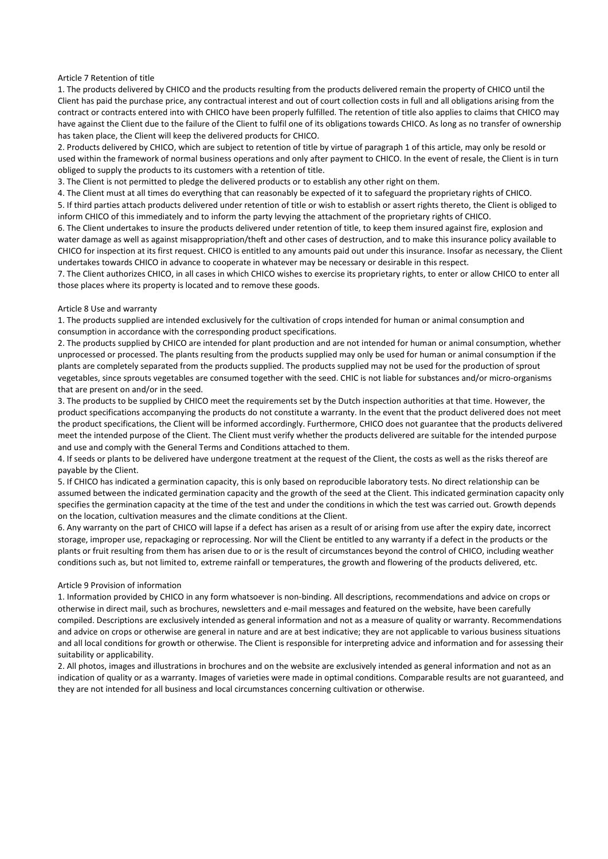# Article 7 Retention of title

1. The products delivered by CHICO and the products resulting from the products delivered remain the property of CHICO until the Client has paid the purchase price, any contractual interest and out of court collection costs in full and all obligations arising from the contract or contracts entered into with CHICO have been properly fulfilled. The retention of title also applies to claims that CHICO may have against the Client due to the failure of the Client to fulfil one of its obligations towards CHICO. As long as no transfer of ownership has taken place, the Client will keep the delivered products for CHICO.

2. Products delivered by CHICO, which are subject to retention of title by virtue of paragraph 1 of this article, may only be resold or used within the framework of normal business operations and only after payment to CHICO. In the event of resale, the Client is in turn obliged to supply the products to its customers with a retention of title.

3. The Client is not permitted to pledge the delivered products or to establish any other right on them.

4. The Client must at all times do everything that can reasonably be expected of it to safeguard the proprietary rights of CHICO. 5. If third parties attach products delivered under retention of title or wish to establish or assert rights thereto, the Client is obliged to inform CHICO of this immediately and to inform the party levying the attachment of the proprietary rights of CHICO.

6. The Client undertakes to insure the products delivered under retention of title, to keep them insured against fire, explosion and water damage as well as against misappropriation/theft and other cases of destruction, and to make this insurance policy available to CHICO for inspection at its first request. CHICO is entitled to any amounts paid out under this insurance. Insofar as necessary, the Client undertakes towards CHICO in advance to cooperate in whatever may be necessary or desirable in this respect.

7. The Client authorizes CHICO, in all cases in which CHICO wishes to exercise its proprietary rights, to enter or allow CHICO to enter all those places where its property is located and to remove these goods.

# Article 8 Use and warranty

1. The products supplied are intended exclusively for the cultivation of crops intended for human or animal consumption and consumption in accordance with the corresponding product specifications.

2. The products supplied by CHICO are intended for plant production and are not intended for human or animal consumption, whether unprocessed or processed. The plants resulting from the products supplied may only be used for human or animal consumption if the plants are completely separated from the products supplied. The products supplied may not be used for the production of sprout vegetables, since sprouts vegetables are consumed together with the seed. CHIC is not liable for substances and/or micro-organisms that are present on and/or in the seed.

3. The products to be supplied by CHICO meet the requirements set by the Dutch inspection authorities at that time. However, the product specifications accompanying the products do not constitute a warranty. In the event that the product delivered does not meet the product specifications, the Client will be informed accordingly. Furthermore, CHICO does not guarantee that the products delivered meet the intended purpose of the Client. The Client must verify whether the products delivered are suitable for the intended purpose and use and comply with the General Terms and Conditions attached to them.

4. If seeds or plants to be delivered have undergone treatment at the request of the Client, the costs as well as the risks thereof are payable by the Client.

5. If CHICO has indicated a germination capacity, this is only based on reproducible laboratory tests. No direct relationship can be assumed between the indicated germination capacity and the growth of the seed at the Client. This indicated germination capacity only specifies the germination capacity at the time of the test and under the conditions in which the test was carried out. Growth depends on the location, cultivation measures and the climate conditions at the Client.

6. Any warranty on the part of CHICO will lapse if a defect has arisen as a result of or arising from use after the expiry date, incorrect storage, improper use, repackaging or reprocessing. Nor will the Client be entitled to any warranty if a defect in the products or the plants or fruit resulting from them has arisen due to or is the result of circumstances beyond the control of CHICO, including weather conditions such as, but not limited to, extreme rainfall or temperatures, the growth and flowering of the products delivered, etc.

# Article 9 Provision of information

1. Information provided by CHICO in any form whatsoever is non-binding. All descriptions, recommendations and advice on crops or otherwise in direct mail, such as brochures, newsletters and e-mail messages and featured on the website, have been carefully compiled. Descriptions are exclusively intended as general information and not as a measure of quality or warranty. Recommendations and advice on crops or otherwise are general in nature and are at best indicative; they are not applicable to various business situations and all local conditions for growth or otherwise. The Client is responsible for interpreting advice and information and for assessing their suitability or applicability.

2. All photos, images and illustrations in brochures and on the website are exclusively intended as general information and not as an indication of quality or as a warranty. Images of varieties were made in optimal conditions. Comparable results are not guaranteed, and they are not intended for all business and local circumstances concerning cultivation or otherwise.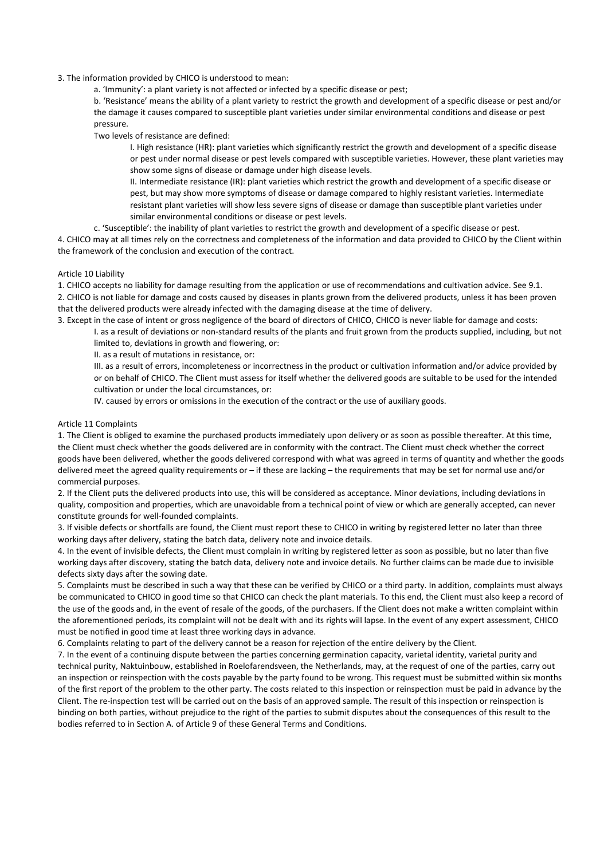### 3. The information provided by CHICO is understood to mean:

a. 'Immunity': a plant variety is not affected or infected by a specific disease or pest;

b. 'Resistance' means the ability of a plant variety to restrict the growth and development of a specific disease or pest and/or the damage it causes compared to susceptible plant varieties under similar environmental conditions and disease or pest pressure.

Two levels of resistance are defined:

I. High resistance (HR): plant varieties which significantly restrict the growth and development of a specific disease or pest under normal disease or pest levels compared with susceptible varieties. However, these plant varieties may show some signs of disease or damage under high disease levels.

II. Intermediate resistance (IR): plant varieties which restrict the growth and development of a specific disease or pest, but may show more symptoms of disease or damage compared to highly resistant varieties. Intermediate resistant plant varieties will show less severe signs of disease or damage than susceptible plant varieties under similar environmental conditions or disease or pest levels.

c. 'Susceptible': the inability of plant varieties to restrict the growth and development of a specific disease or pest.

4. CHICO may at all times rely on the correctness and completeness of the information and data provided to CHICO by the Client within the framework of the conclusion and execution of the contract.

# Article 10 Liability

1. CHICO accepts no liability for damage resulting from the application or use of recommendations and cultivation advice. See 9.1. 2. CHICO is not liable for damage and costs caused by diseases in plants grown from the delivered products, unless it has been proven that the delivered products were already infected with the damaging disease at the time of delivery.

3. Except in the case of intent or gross negligence of the board of directors of CHICO, CHICO is never liable for damage and costs:

I. as a result of deviations or non-standard results of the plants and fruit grown from the products supplied, including, but not limited to, deviations in growth and flowering, or:

II. as a result of mutations in resistance, or:

III. as a result of errors, incompleteness or incorrectness in the product or cultivation information and/or advice provided by or on behalf of CHICO. The Client must assess for itself whether the delivered goods are suitable to be used for the intended cultivation or under the local circumstances, or:

IV. caused by errors or omissions in the execution of the contract or the use of auxiliary goods.

# Article 11 Complaints

1. The Client is obliged to examine the purchased products immediately upon delivery or as soon as possible thereafter. At this time, the Client must check whether the goods delivered are in conformity with the contract. The Client must check whether the correct goods have been delivered, whether the goods delivered correspond with what was agreed in terms of quantity and whether the goods delivered meet the agreed quality requirements or – if these are lacking – the requirements that may be set for normal use and/or commercial purposes.

2. If the Client puts the delivered products into use, this will be considered as acceptance. Minor deviations, including deviations in quality, composition and properties, which are unavoidable from a technical point of view or which are generally accepted, can never constitute grounds for well-founded complaints.

3. If visible defects or shortfalls are found, the Client must report these to CHICO in writing by registered letter no later than three working days after delivery, stating the batch data, delivery note and invoice details.

4. In the event of invisible defects, the Client must complain in writing by registered letter as soon as possible, but no later than five working days after discovery, stating the batch data, delivery note and invoice details. No further claims can be made due to invisible defects sixty days after the sowing date.

5. Complaints must be described in such a way that these can be verified by CHICO or a third party. In addition, complaints must always be communicated to CHICO in good time so that CHICO can check the plant materials. To this end, the Client must also keep a record of the use of the goods and, in the event of resale of the goods, of the purchasers. If the Client does not make a written complaint within the aforementioned periods, its complaint will not be dealt with and its rights will lapse. In the event of any expert assessment, CHICO must be notified in good time at least three working days in advance.

6. Complaints relating to part of the delivery cannot be a reason for rejection of the entire delivery by the Client.

7. In the event of a continuing dispute between the parties concerning germination capacity, varietal identity, varietal purity and technical purity, Naktuinbouw, established in Roelofarendsveen, the Netherlands, may, at the request of one of the parties, carry out an inspection or reinspection with the costs payable by the party found to be wrong. This request must be submitted within six months of the first report of the problem to the other party. The costs related to this inspection or reinspection must be paid in advance by the Client. The re-inspection test will be carried out on the basis of an approved sample. The result of this inspection or reinspection is binding on both parties, without prejudice to the right of the parties to submit disputes about the consequences of this result to the bodies referred to in Section A. of Article 9 of these General Terms and Conditions.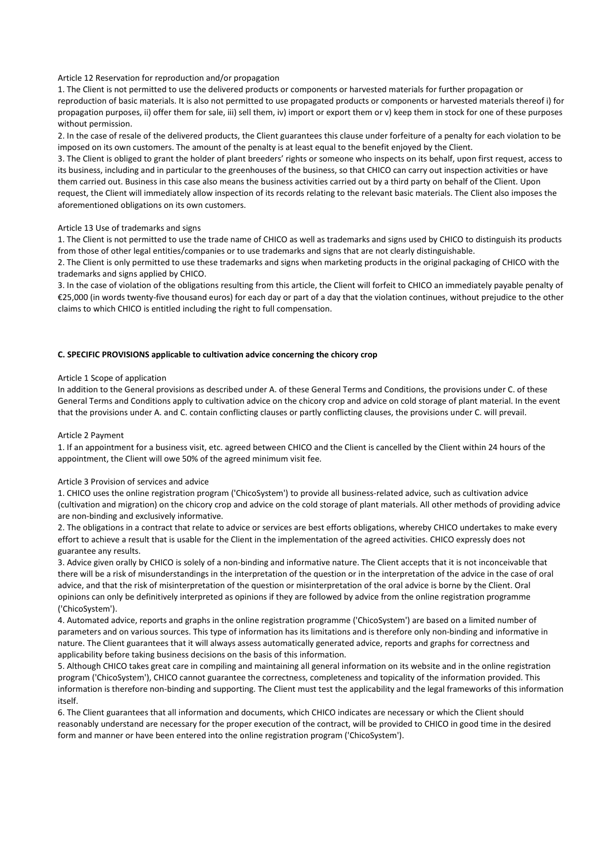### Article 12 Reservation for reproduction and/or propagation

1. The Client is not permitted to use the delivered products or components or harvested materials for further propagation or reproduction of basic materials. It is also not permitted to use propagated products or components or harvested materials thereof i) for propagation purposes, ii) offer them for sale, iii) sell them, iv) import or export them or v) keep them in stock for one of these purposes without permission.

2. In the case of resale of the delivered products, the Client guarantees this clause under forfeiture of a penalty for each violation to be imposed on its own customers. The amount of the penalty is at least equal to the benefit enjoyed by the Client.

3. The Client is obliged to grant the holder of plant breeders' rights or someone who inspects on its behalf, upon first request, access to its business, including and in particular to the greenhouses of the business, so that CHICO can carry out inspection activities or have them carried out. Business in this case also means the business activities carried out by a third party on behalf of the Client. Upon request, the Client will immediately allow inspection of its records relating to the relevant basic materials. The Client also imposes the aforementioned obligations on its own customers.

# Article 13 Use of trademarks and signs

1. The Client is not permitted to use the trade name of CHICO as well as trademarks and signs used by CHICO to distinguish its products from those of other legal entities/companies or to use trademarks and signs that are not clearly distinguishable.

2. The Client is only permitted to use these trademarks and signs when marketing products in the original packaging of CHICO with the trademarks and signs applied by CHICO.

3. In the case of violation of the obligations resulting from this article, the Client will forfeit to CHICO an immediately payable penalty of €25,000 (in words twenty-five thousand euros) for each day or part of a day that the violation continues, without prejudice to the other claims to which CHICO is entitled including the right to full compensation.

# **C. SPECIFIC PROVISIONS applicable to cultivation advice concerning the chicory crop**

### Article 1 Scope of application

In addition to the General provisions as described under A. of these General Terms and Conditions, the provisions under C. of these General Terms and Conditions apply to cultivation advice on the chicory crop and advice on cold storage of plant material. In the event that the provisions under A. and C. contain conflicting clauses or partly conflicting clauses, the provisions under C. will prevail.

#### Article 2 Payment

1. If an appointment for a business visit, etc. agreed between CHICO and the Client is cancelled by the Client within 24 hours of the appointment, the Client will owe 50% of the agreed minimum visit fee.

#### Article 3 Provision of services and advice

1. CHICO uses the online registration program ('ChicoSystem') to provide all business-related advice, such as cultivation advice (cultivation and migration) on the chicory crop and advice on the cold storage of plant materials. All other methods of providing advice are non-binding and exclusively informative.

2. The obligations in a contract that relate to advice or services are best efforts obligations, whereby CHICO undertakes to make every effort to achieve a result that is usable for the Client in the implementation of the agreed activities. CHICO expressly does not guarantee any results.

3. Advice given orally by CHICO is solely of a non-binding and informative nature. The Client accepts that it is not inconceivable that there will be a risk of misunderstandings in the interpretation of the question or in the interpretation of the advice in the case of oral advice, and that the risk of misinterpretation of the question or misinterpretation of the oral advice is borne by the Client. Oral opinions can only be definitively interpreted as opinions if they are followed by advice from the online registration programme ('ChicoSystem').

4. Automated advice, reports and graphs in the online registration programme ('ChicoSystem') are based on a limited number of parameters and on various sources. This type of information has its limitations and is therefore only non-binding and informative in nature. The Client guarantees that it will always assess automatically generated advice, reports and graphs for correctness and applicability before taking business decisions on the basis of this information.

5. Although CHICO takes great care in compiling and maintaining all general information on its website and in the online registration program ('ChicoSystem'), CHICO cannot guarantee the correctness, completeness and topicality of the information provided. This information is therefore non-binding and supporting. The Client must test the applicability and the legal frameworks of this information itself.

6. The Client guarantees that all information and documents, which CHICO indicates are necessary or which the Client should reasonably understand are necessary for the proper execution of the contract, will be provided to CHICO in good time in the desired form and manner or have been entered into the online registration program ('ChicoSystem').